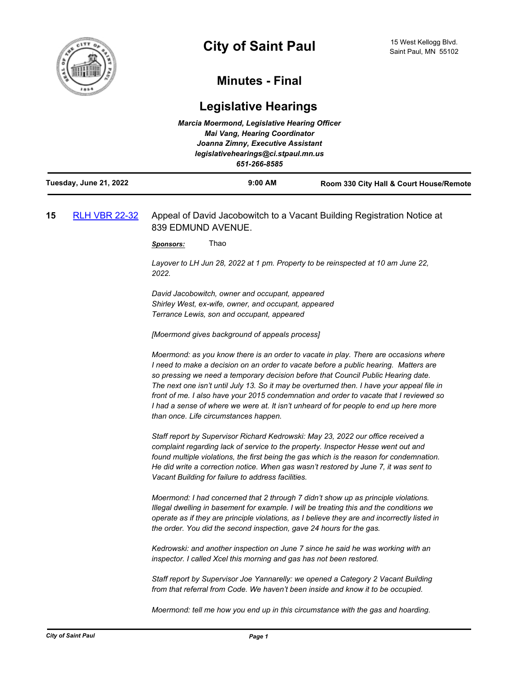

## **Minutes - Final**

## **Legislative Hearings**

|                        | <b>Marcia Moermond, Legislative Hearing Officer</b><br><b>Mai Vang, Hearing Coordinator</b> |                                         |
|------------------------|---------------------------------------------------------------------------------------------|-----------------------------------------|
|                        | Joanna Zimny, Executive Assistant                                                           |                                         |
|                        | legislativehearings@ci.stpaul.mn.us                                                         |                                         |
|                        | 651-266-8585                                                                                |                                         |
| Tuesday, June 21, 2022 | $9:00$ AM                                                                                   | Room 330 City Hall & Court House/Remote |

## **15** [RLH VBR 22-32](http://stpaul.legistar.com/gateway.aspx?m=l&id=/matter.aspx?key=42067) Appeal of David Jacobowitch to a Vacant Building Registration Notice at 839 EDMUND AVENUE.

*Sponsors:* Thao

*Layover to LH Jun 28, 2022 at 1 pm. Property to be reinspected at 10 am June 22, 2022.* 

*David Jacobowitch, owner and occupant, appeared Shirley West, ex-wife, owner, and occupant, appeared Terrance Lewis, son and occupant, appeared*

*[Moermond gives background of appeals process]*

*Moermond: as you know there is an order to vacate in play. There are occasions where I need to make a decision on an order to vacate before a public hearing. Matters are so pressing we need a temporary decision before that Council Public Hearing date. The next one isn't until July 13. So it may be overturned then. I have your appeal file in front of me. I also have your 2015 condemnation and order to vacate that I reviewed so I* had a sense of where we were at. It isn't unheard of for people to end up here more *than once. Life circumstances happen.* 

*Staff report by Supervisor Richard Kedrowski: May 23, 2022 our office received a complaint regarding lack of service to the property. Inspector Hesse went out and found multiple violations, the first being the gas which is the reason for condemnation. He did write a correction notice. When gas wasn't restored by June 7, it was sent to Vacant Building for failure to address facilities.*

*Moermond: I had concerned that 2 through 7 didn't show up as principle violations. Illegal dwelling in basement for example. I will be treating this and the conditions we operate as if they are principle violations, as I believe they are and incorrectly listed in the order. You did the second inspection, gave 24 hours for the gas.*

*Kedrowski: and another inspection on June 7 since he said he was working with an inspector. I called Xcel this morning and gas has not been restored.* 

*Staff report by Supervisor Joe Yannarelly: we opened a Category 2 Vacant Building from that referral from Code. We haven't been inside and know it to be occupied.* 

*Moermond: tell me how you end up in this circumstance with the gas and hoarding.*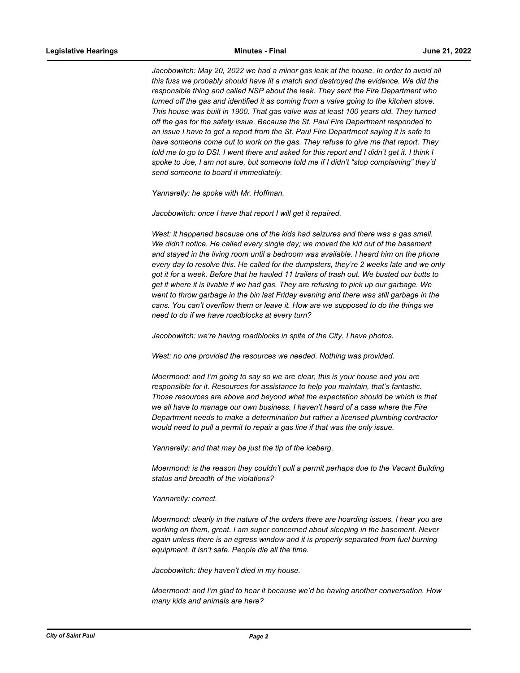Jacobowitch: May 20, 2022 we had a minor gas leak at the house. In order to avoid all *this fuss we probably should have lit a match and destroyed the evidence. We did the responsible thing and called NSP about the leak. They sent the Fire Department who turned off the gas and identified it as coming from a valve going to the kitchen stove. This house was built in 1900. That gas valve was at least 100 years old. They turned off the gas for the safety issue. Because the St. Paul Fire Department responded to an issue I have to get a report from the St. Paul Fire Department saying it is safe to have someone come out to work on the gas. They refuse to give me that report. They told me to go to DSI. I went there and asked for this report and I didn't get it. I think I spoke to Joe, I am not sure, but someone told me if I didn't "stop complaining" they'd send someone to board it immediately.*

*Yannarelly: he spoke with Mr. Hoffman.*

*Jacobowitch: once I have that report I will get it repaired.*

West: it happened because one of the kids had seizures and there was a gas smell. *We didn't notice. He called every single day; we moved the kid out of the basement and stayed in the living room until a bedroom was available. I heard him on the phone every day to resolve this. He called for the dumpsters, they're 2 weeks late and we only got it for a week. Before that he hauled 11 trailers of trash out. We busted our butts to get it where it is livable if we had gas. They are refusing to pick up our garbage. We went to throw garbage in the bin last Friday evening and there was still garbage in the cans. You can't overflow them or leave it. How are we supposed to do the things we need to do if we have roadblocks at every turn?*

*Jacobowitch: we're having roadblocks in spite of the City. I have photos.* 

*West: no one provided the resources we needed. Nothing was provided.* 

*Moermond: and I'm going to say so we are clear, this is your house and you are responsible for it. Resources for assistance to help you maintain, that's fantastic. Those resources are above and beyond what the expectation should be which is that*  we all have to manage our own business. I haven't heard of a case where the Fire *Department needs to make a determination but rather a licensed plumbing contractor would need to pull a permit to repair a gas line if that was the only issue.*

*Yannarelly: and that may be just the tip of the iceberg.*

*Moermond: is the reason they couldn't pull a permit perhaps due to the Vacant Building status and breadth of the violations?*

## *Yannarelly: correct.*

*Moermond: clearly in the nature of the orders there are hoarding issues. I hear you are working on them, great. I am super concerned about sleeping in the basement. Never again unless there is an egress window and it is properly separated from fuel burning equipment. It isn't safe. People die all the time.*

*Jacobowitch: they haven't died in my house.*

*Moermond: and I'm glad to hear it because we'd be having another conversation. How many kids and animals are here?*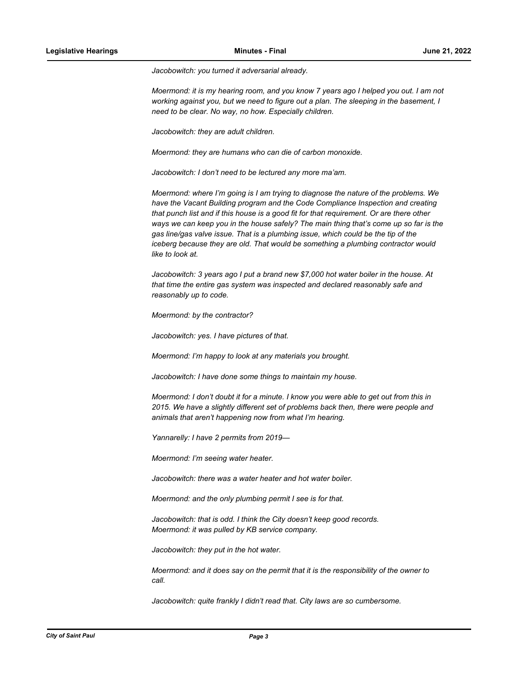*Jacobowitch: you turned it adversarial already.*

*Moermond: it is my hearing room, and you know 7 years ago I helped you out. I am not working against you, but we need to figure out a plan. The sleeping in the basement, I need to be clear. No way, no how. Especially children.*

*Jacobowitch: they are adult children.*

*Moermond: they are humans who can die of carbon monoxide.* 

*Jacobowitch: I don't need to be lectured any more ma'am.*

*Moermond: where I'm going is I am trying to diagnose the nature of the problems. We have the Vacant Building program and the Code Compliance Inspection and creating that punch list and if this house is a good fit for that requirement. Or are there other ways we can keep you in the house safely? The main thing that's come up so far is the gas line/gas valve issue. That is a plumbing issue, which could be the tip of the iceberg because they are old. That would be something a plumbing contractor would like to look at.*

*Jacobowitch: 3 years ago I put a brand new \$7,000 hot water boiler in the house. At that time the entire gas system was inspected and declared reasonably safe and reasonably up to code.*

*Moermond: by the contractor?*

*Jacobowitch: yes. I have pictures of that.* 

*Moermond: I'm happy to look at any materials you brought.*

*Jacobowitch: I have done some things to maintain my house.*

*Moermond: I don't doubt it for a minute. I know you were able to get out from this in 2015. We have a slightly different set of problems back then, there were people and animals that aren't happening now from what I'm hearing.* 

*Yannarelly: I have 2 permits from 2019—*

*Moermond: I'm seeing water heater.* 

*Jacobowitch: there was a water heater and hot water boiler.* 

*Moermond: and the only plumbing permit I see is for that.*

*Jacobowitch: that is odd. I think the City doesn't keep good records. Moermond: it was pulled by KB service company.*

*Jacobowitch: they put in the hot water.* 

*Moermond: and it does say on the permit that it is the responsibility of the owner to call.* 

*Jacobowitch: quite frankly I didn't read that. City laws are so cumbersome.*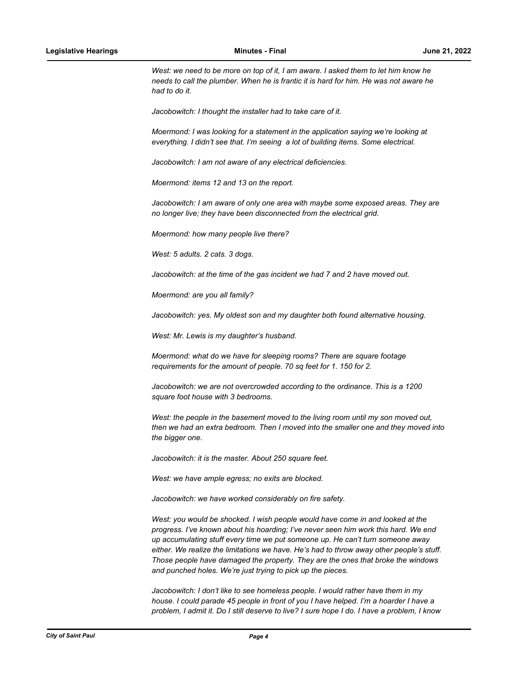West: we need to be more on top of it, I am aware. I asked them to let him know he *needs to call the plumber. When he is frantic it is hard for him. He was not aware he had to do it.*

*Jacobowitch: I thought the installer had to take care of it.* 

*Moermond: I was looking for a statement in the application saying we're looking at everything. I didn't see that. I'm seeing a lot of building items. Some electrical.* 

*Jacobowitch: I am not aware of any electrical deficiencies.*

*Moermond: items 12 and 13 on the report.*

*Jacobowitch: I am aware of only one area with maybe some exposed areas. They are no longer live; they have been disconnected from the electrical grid.* 

*Moermond: how many people live there?*

*West: 5 adults. 2 cats. 3 dogs.* 

*Jacobowitch: at the time of the gas incident we had 7 and 2 have moved out.* 

*Moermond: are you all family?*

*Jacobowitch: yes. My oldest son and my daughter both found alternative housing.*

*West: Mr. Lewis is my daughter's husband.* 

*Moermond: what do we have for sleeping rooms? There are square footage requirements for the amount of people. 70 sq feet for 1. 150 for 2.* 

*Jacobowitch: we are not overcrowded according to the ordinance. This is a 1200 square foot house with 3 bedrooms.* 

*West: the people in the basement moved to the living room until my son moved out, then we had an extra bedroom. Then I moved into the smaller one and they moved into the bigger one.*

*Jacobowitch: it is the master. About 250 square feet.*

*West: we have ample egress; no exits are blocked.* 

*Jacobowitch: we have worked considerably on fire safety.*

*West: you would be shocked. I wish people would have come in and looked at the progress. I've known about his hoarding; I've never seen him work this hard. We end up accumulating stuff every time we put someone up. He can't turn someone away either. We realize the limitations we have. He's had to throw away other people's stuff. Those people have damaged the property. They are the ones that broke the windows and punched holes. We're just trying to pick up the pieces.*

*Jacobowitch: I don't like to see homeless people. I would rather have them in my house. I could parade 45 people in front of you I have helped. I'm a hoarder I have a problem, I admit it. Do I still deserve to live? I sure hope I do. I have a problem, I know*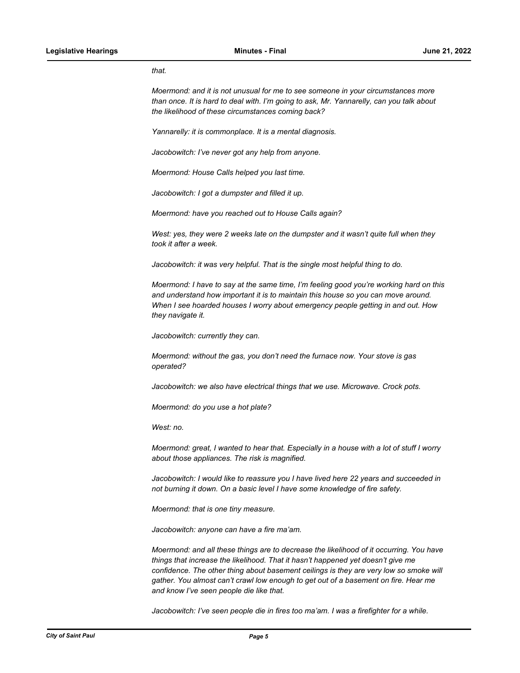*that.*

*Moermond: and it is not unusual for me to see someone in your circumstances more than once. It is hard to deal with. I'm going to ask, Mr. Yannarelly, can you talk about the likelihood of these circumstances coming back?*

*Yannarelly: it is commonplace. It is a mental diagnosis.* 

*Jacobowitch: I've never got any help from anyone.* 

*Moermond: House Calls helped you last time.*

*Jacobowitch: I got a dumpster and filled it up.*

*Moermond: have you reached out to House Calls again?* 

*West: yes, they were 2 weeks late on the dumpster and it wasn't quite full when they took it after a week.*

*Jacobowitch: it was very helpful. That is the single most helpful thing to do.* 

*Moermond: I have to say at the same time, I'm feeling good you're working hard on this and understand how important it is to maintain this house so you can move around. When I see hoarded houses I worry about emergency people getting in and out. How they navigate it.* 

*Jacobowitch: currently they can.*

*Moermond: without the gas, you don't need the furnace now. Your stove is gas operated?*

*Jacobowitch: we also have electrical things that we use. Microwave. Crock pots.* 

*Moermond: do you use a hot plate?*

*West: no.* 

*Moermond: great, I wanted to hear that. Especially in a house with a lot of stuff I worry about those appliances. The risk is magnified.* 

*Jacobowitch: I would like to reassure you I have lived here 22 years and succeeded in not burning it down. On a basic level I have some knowledge of fire safety.*

*Moermond: that is one tiny measure.* 

*Jacobowitch: anyone can have a fire ma'am.*

*Moermond: and all these things are to decrease the likelihood of it occurring. You have things that increase the likelihood. That it hasn't happened yet doesn't give me confidence. The other thing about basement ceilings is they are very low so smoke will gather. You almost can't crawl low enough to get out of a basement on fire. Hear me and know I've seen people die like that.*

*Jacobowitch: I've seen people die in fires too ma'am. I was a firefighter for a while.*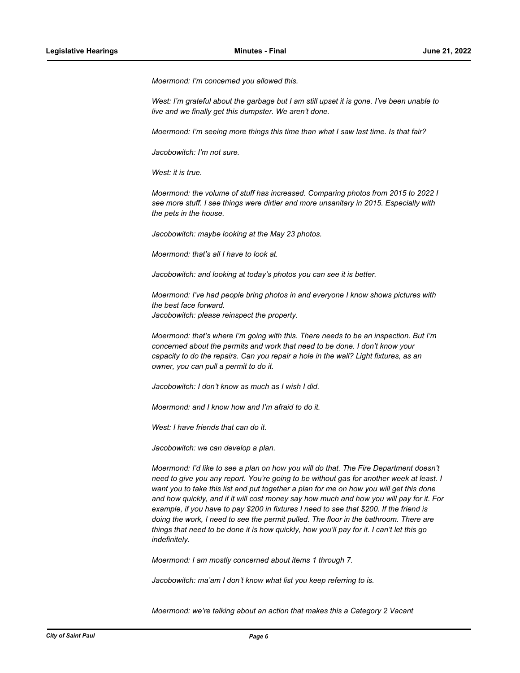*Moermond: I'm concerned you allowed this.* 

*West: I'm grateful about the garbage but I am still upset it is gone. I've been unable to live and we finally get this dumpster. We aren't done.* 

*Moermond: I'm seeing more things this time than what I saw last time. Is that fair?*

*Jacobowitch: I'm not sure.* 

*West: it is true.*

*Moermond: the volume of stuff has increased. Comparing photos from 2015 to 2022 I see more stuff. I see things were dirtier and more unsanitary in 2015. Especially with the pets in the house.* 

*Jacobowitch: maybe looking at the May 23 photos.*

*Moermond: that's all I have to look at.*

*Jacobowitch: and looking at today's photos you can see it is better.*

*Moermond: I've had people bring photos in and everyone I know shows pictures with the best face forward. Jacobowitch: please reinspect the property.*

*Moermond: that's where I'm going with this. There needs to be an inspection. But I'm concerned about the permits and work that need to be done. I don't know your capacity to do the repairs. Can you repair a hole in the wall? Light fixtures, as an owner, you can pull a permit to do it.* 

*Jacobowitch: I don't know as much as I wish I did.*

*Moermond: and I know how and I'm afraid to do it.*

*West: I have friends that can do it.* 

*Jacobowitch: we can develop a plan.*

*Moermond: I'd like to see a plan on how you will do that. The Fire Department doesn't need to give you any report. You're going to be without gas for another week at least. I want you to take this list and put together a plan for me on how you will get this done and how quickly, and if it will cost money say how much and how you will pay for it. For example, if you have to pay \$200 in fixtures I need to see that \$200. If the friend is doing the work, I need to see the permit pulled. The floor in the bathroom. There are things that need to be done it is how quickly, how you'll pay for it. I can't let this go indefinitely.* 

*Moermond: I am mostly concerned about items 1 through 7.*

*Jacobowitch: ma'am I don't know what list you keep referring to is.* 

*Moermond: we're talking about an action that makes this a Category 2 Vacant*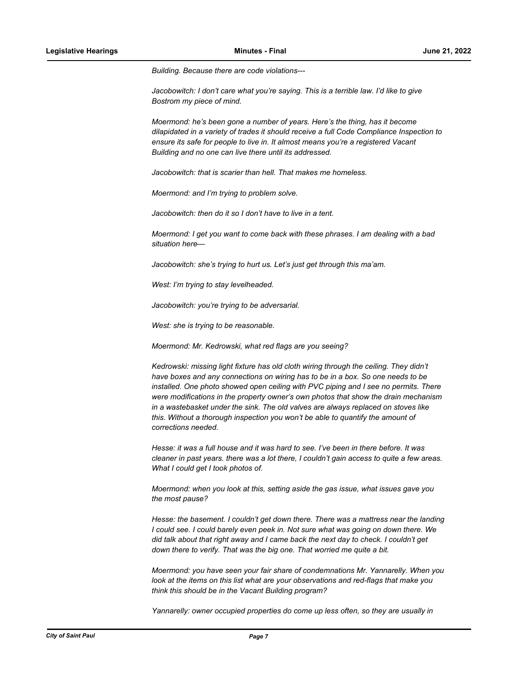*Building. Because there are code violations---*

*Jacobowitch: I don't care what you're saying. This is a terrible law. I'd like to give Bostrom my piece of mind.* 

*Moermond: he's been gone a number of years. Here's the thing, has it become dilapidated in a variety of trades it should receive a full Code Compliance Inspection to ensure its safe for people to live in. It almost means you're a registered Vacant Building and no one can live there until its addressed.*

*Jacobowitch: that is scarier than hell. That makes me homeless.*

*Moermond: and I'm trying to problem solve.*

*Jacobowitch: then do it so I don't have to live in a tent.* 

*Moermond: I get you want to come back with these phrases. I am dealing with a bad situation here—*

*Jacobowitch: she's trying to hurt us. Let's just get through this ma'am.* 

*West: I'm trying to stay levelheaded.* 

*Jacobowitch: you're trying to be adversarial.*

*West: she is trying to be reasonable.*

*Moermond: Mr. Kedrowski, what red flags are you seeing?*

*Kedrowski: missing light fixture has old cloth wiring through the ceiling. They didn't have boxes and any connections on wiring has to be in a box. So one needs to be installed. One photo showed open ceiling with PVC piping and I see no permits. There were modifications in the property owner's own photos that show the drain mechanism in a wastebasket under the sink. The old valves are always replaced on stoves like this. Without a thorough inspection you won't be able to quantify the amount of corrections needed.*

*Hesse: it was a full house and it was hard to see. I've been in there before. It was cleaner in past years. there was a lot there, I couldn't gain access to quite a few areas. What I could get I took photos of.* 

*Moermond: when you look at this, setting aside the gas issue, what issues gave you the most pause?*

*Hesse: the basement. I couldn't get down there. There was a mattress near the landing I could see. I could barely even peek in. Not sure what was going on down there. We did talk about that right away and I came back the next day to check. I couldn't get down there to verify. That was the big one. That worried me quite a bit.*

*Moermond: you have seen your fair share of condemnations Mr. Yannarelly. When you look at the items on this list what are your observations and red-flags that make you think this should be in the Vacant Building program?*

*Yannarelly: owner occupied properties do come up less often, so they are usually in*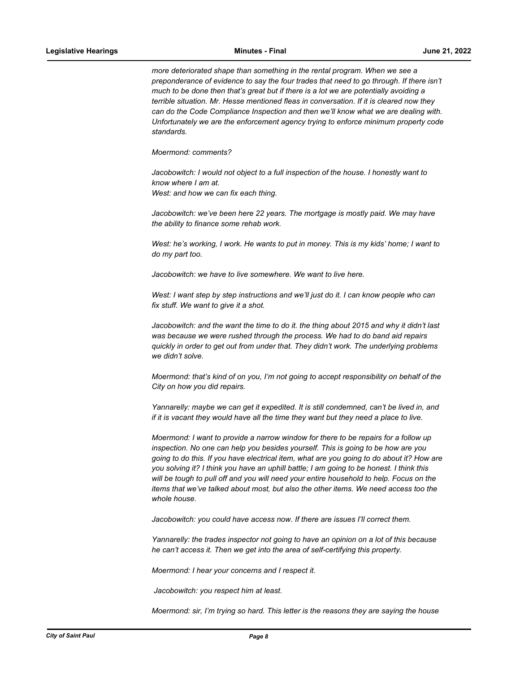*more deteriorated shape than something in the rental program. When we see a preponderance of evidence to say the four trades that need to go through. If there isn't much to be done then that's great but if there is a lot we are potentially avoiding a terrible situation. Mr. Hesse mentioned fleas in conversation. If it is cleared now they can do the Code Compliance Inspection and then we'll know what we are dealing with. Unfortunately we are the enforcement agency trying to enforce minimum property code standards.* 

*Moermond: comments?*

*Jacobowitch: I would not object to a full inspection of the house. I honestly want to know where I am at. West: and how we can fix each thing.*

Jacobowitch: we've been here 22 years. The mortgage is mostly paid. We may have *the ability to finance some rehab work.*

*West: he's working, I work. He wants to put in money. This is my kids' home; I want to do my part too.* 

*Jacobowitch: we have to live somewhere. We want to live here.*

*West: I want step by step instructions and we'll just do it. I can know people who can fix stuff. We want to give it a shot.* 

*Jacobowitch: and the want the time to do it. the thing about 2015 and why it didn't last was because we were rushed through the process. We had to do band aid repairs quickly in order to get out from under that. They didn't work. The underlying problems we didn't solve.*

*Moermond: that's kind of on you, I'm not going to accept responsibility on behalf of the City on how you did repairs.* 

*Yannarelly: maybe we can get it expedited. It is still condemned, can't be lived in, and if it is vacant they would have all the time they want but they need a place to live.* 

*Moermond: I want to provide a narrow window for there to be repairs for a follow up inspection. No one can help you besides yourself. This is going to be how are you going to do this. If you have electrical item, what are you going to do about it? How are you solving it? I think you have an uphill battle; I am going to be honest. I think this will be tough to pull off and you will need your entire household to help. Focus on the items that we've talked about most, but also the other items. We need access too the whole house.* 

*Jacobowitch: you could have access now. If there are issues I'll correct them.* 

*Yannarelly: the trades inspector not going to have an opinion on a lot of this because he can't access it. Then we get into the area of self-certifying this property.*

*Moermond: I hear your concerns and I respect it.*

 *Jacobowitch: you respect him at least.*

*Moermond: sir, I'm trying so hard. This letter is the reasons they are saying the house*